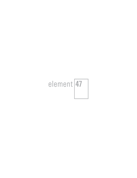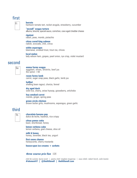### first

# Fi

#### **burrata**

heirloom tomato tart, rocket arugula, strawberry, cucumber

**"mcnell" wagyu tartare**  alliums, brioche, special sauce, cornichon, cave aged cheddar cheese

#### **rigatoni**

rabbit, peas, morels, pistachio **citrus cured king salmon** 

radish, avocado, chili, citrus

#### **white asparagus**

béarnaise, smoked trout, trout roe, chives

#### **local melon**

lady edison ham, grapes, pearl onion, rye crisp, violet mustard

#### second

# Se

**emma farms wagyu**  eggplant, olives, shishito, beef jus  $80z$  option  $+60$ 

**rosen farms lamb**  carrot, sugar snap peas, black garlic, lamb jus

**halibut**  shelling bean ragout, chorizo, fennel

**dry aged duck**  wild rice, cherry, anise hyssop, gooseberry, artichoke

**hay smoked carrot**  morels, ginger, spring peas

**green circle chicken**  brown butter grits, mushrooms, asparagus, green garlic

### third

Th

**chocolate banana pop**  dulce de leche, hazelnut, rice crispy

**citrus panna cotta**  basil, shortbread, honey

**lemon verbena cube**  lemon verbena, goat cheese, olive oil

**milk & honey**  honey, lavender, black tea, yogurt

**first snow cheese**  honeycomb, cherry mostarda

**house-spun ice creams + sorbets** 

#### *three course prix fixe 125*

*chef de cuisine: byron evert | pastry chef: meghan mcgarvey | sous chefs: robert horch, colin loomis* **#element47 | @thelittlenell | thelittlenell.com**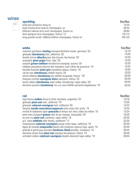# wines

Wi

### **sparkling**

| sparkling                                             | 5oz/8oz |
|-------------------------------------------------------|---------|
| bisol jeio prosecco docq nv                           | 15/24   |
| louis nicaise brut reserve champagne, nv              | 28/44   |
| billecart-salmon brut rosé champagne, france nv       | 40/60   |
| dom pérignon <i>brut</i> champagne, france '12        | 70/112  |
| krug grande cuvée 168ème édition champagne, france nv | 85/135  |

| white                                                                    | 5oz/8oz |
|--------------------------------------------------------------------------|---------|
| maximin grünhaus riesling monopol feinherb mosel, germany '20            | 12/18   |
| glissade chardonnay lodi, california '20                                 | 13/20   |
| familia torres albariño pazo das bruxas rías baixas '20                  | 14/22   |
| scarpetta <i>pinot grigio</i> friuli, italy '20                          | 14/22   |
| weszeli grüner-veltliner terrafactum kamptal, austria '20                | 15/24   |
| château peyrassol réserve des templiers rosé côtes de provence '19       | 15/24   |
| barmès-buecher pinot gris rosenberg alsace, france '18                   | 16/25   |
| val de mer chardonnay chablis france '20                                 | 18/28   |
| olivier leflaive chardonnay les sétilles burgundy, france '20            | 20/30   |
| françois crochet sauvignon blanc sancerre, france '20                    | 20/30   |
| lewis cellars <b>chardonnay</b> napa valley chardonnay napa valley '20   | 29/45   |
| domaine pavelot chardonnay 1er cru sous frétille pernand-vergelesses '19 | 35/55   |

| red                                                                       | 5oz/8oz |
|---------------------------------------------------------------------------|---------|
| luigi bosca malbec <i>finca la linda</i> mendoza, argentina '20           | 10/16   |
| glissade <i>pinot noir</i> lodi, california '19                           | 13/20   |
| glissade cabernet sauvignon lodi, california '20                          | 14/22   |
| benanti nerello mascalese/cappuccio etna rosso doc sicily '19             | 15/24   |
| michel & stéphane ogier grenache le temps est venu côtes-du-rhône '18     | 15/24   |
| jean-marc burgaud gamay côte du py morgon, beaujolais '20                 | 16/25   |
| as one cru pinot noir carneros, napa valley '18                           | 20/30   |
| g.d. vajra nebbiolo albe barolo, piedmont '17                             | 22/35   |
| mayacamas cabernet sauvignon young vines napa, california '18             | 25/40   |
| lópez de heredia tempranillo blend viña tondonia reserva rioja, spain '10 | 25/40   |
| prélude à grand-puy ducasse <b>bordeaux blend</b> pauillac, bordeaux '16  | 28/44   |
| domaine simon-bize pinot noir savigny-les-beaune, france '19              | 30/48   |
| schrader cellars cabernet sauvignon double diamond napa valley '18        | 40/64   |